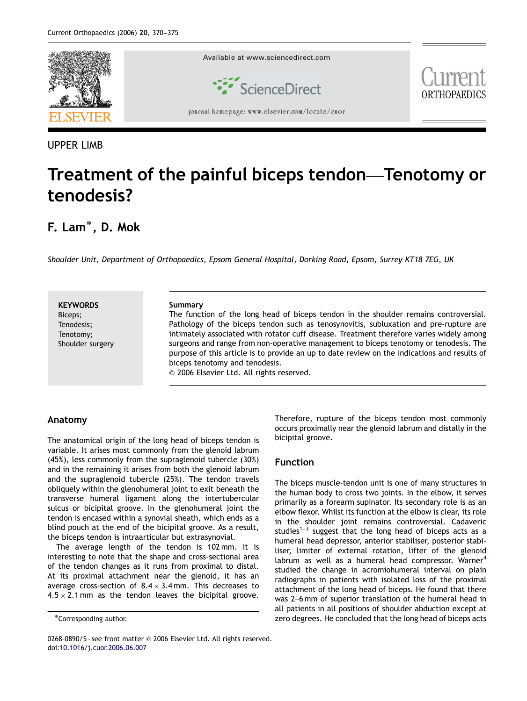

UPPER LIMB

# Treatment of the painful biceps tendon—Tenotomy or tenodesis?

# F. Lam<sup>\*</sup>, D. Mok

Shoulder Unit, Department of Orthopaedics, Epsom General Hospital, Dorking Road, Epsom, Surrey KT18 7EG, UK

**KEYWORDS** Biceps; Tenodesis; Tenotomy; Shoulder surgery

#### Summary

The function of the long head of biceps tendon in the shoulder remains controversial. Pathology of the biceps tendon such as tenosynovitis, subluxation and pre-rupture are intimately associated with rotator cuff disease. Treatment therefore varies widely among surgeons and range from non-operative management to biceps tenotomy or tenodesis. The purpose of this article is to provide an up to date review on the indications and results of biceps tenotomy and tenodesis.

 $©$  2006 Elsevier Ltd. All rights reserved.

# Anatomy

The anatomical origin of the long head of biceps tendon is variable. It arises most commonly from the glenoid labrum (45%), less commonly from the supraglenoid tubercle (30%) and in the remaining it arises from both the glenoid labrum and the supraglenoid tubercle (25%). The tendon travels obliquely within the glenohumeral joint to exit beneath the transverse humeral ligament along the intertubercular sulcus or bicipital groove. In the glenohumeral joint the tendon is encased within a synovial sheath, which ends as a blind pouch at the end of the bicipital groove. As a result, the biceps tendon is intraarticular but extrasynovial.

The average length of the tendon is 102 mm. It is interesting to note that the shape and cross-sectional area of the tendon changes as it runs from proximal to distal. At its proximal attachment near the glenoid, it has an average cross-section of  $8.4 \times 3.4$  mm. This decreases to  $4.5 \times 2.1$  mm as the tendon leaves the bicipital groove.

0268-0890/\$ - see front matter © 2006 Elsevier Ltd. All rights reserved. doi:[10.1016/j.cuor.2006.06.007](dx.doi.org/10.1016/j.cuor.2006.06.007)

Therefore, rupture of the biceps tendon most commonly occurs proximally near the glenoid labrum and distally in the bicipital groove.

# Function

The biceps muscle-tendon unit is one of many structures in the human body to cross two joints. In the elbow, it serves primarily as a forearm supinator. Its secondary role is as an elbow flexor. Whilst its function at the elbow is clear, its role in the shoulder joint remains controversial. Cadaveric studies $1-3$  $1-3$  suggest that the long head of biceps acts as a humeral head depressor, anterior stabiliser, posterior stabiliser, limiter of external rotation, lifter of the glenoid labrum as well as a humeral head compressor. Warner<sup>4</sup> studied the change in acromiohumeral interval on plain radiographs in patients with isolated loss of the proximal attachment of the long head of biceps. He found that there was 2–6 mm of superior translation of the humeral head in all patients in all positions of shoulder abduction except at zero degrees. He concluded that the long head of biceps acts

Corresponding author.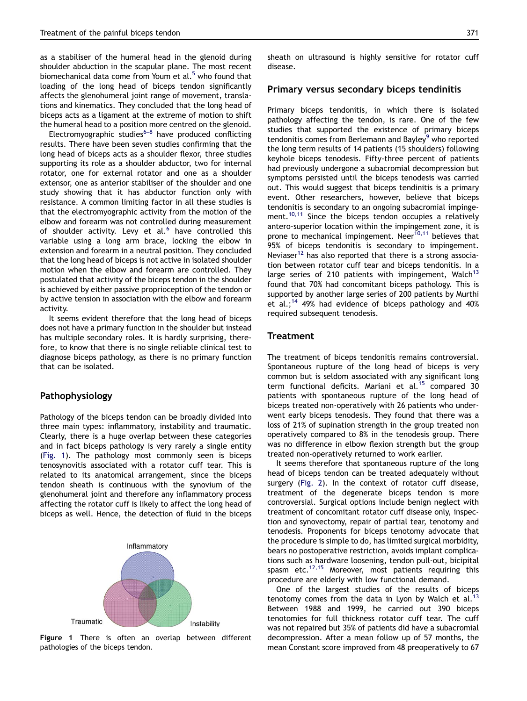as a stabiliser of the humeral head in the glenoid during shoulder abduction in the scapular plane. The most recent biomechanical data come from Youm et al.<sup>[5](#page-4-0)</sup> who found that loading of the long head of biceps tendon significantly affects the glenohumeral joint range of movement, translations and kinematics. They concluded that the long head of biceps acts as a ligament at the extreme of motion to shift the humeral head to a position more centred on the glenoid.

Electromyographic studies<sup>[6](#page-4-0)–8</sup> have produced conflicting results. There have been seven studies confirming that the long head of biceps acts as a shoulder flexor, three studies supporting its role as a shoulder abductor, two for internal rotator, one for external rotator and one as a shoulder extensor, one as anterior stabiliser of the shoulder and one study showing that it has abductor function only with resistance. A common limiting factor in all these studies is that the electromyographic activity from the motion of the elbow and forearm was not controlled during measurement of shoulder activity. Levy et al.<sup>[6](#page-4-0)</sup> have controlled this variable using a long arm brace, locking the elbow in extension and forearm in a neutral position. They concluded that the long head of biceps is not active in isolated shoulder motion when the elbow and forearm are controlled. They postulated that activity of the biceps tendon in the shoulder is achieved by either passive proprioception of the tendon or by active tension in association with the elbow and forearm activity.

It seems evident therefore that the long head of biceps does not have a primary function in the shoulder but instead has multiple secondary roles. It is hardly surprising, therefore, to know that there is no single reliable clinical test to diagnose biceps pathology, as there is no primary function that can be isolated.

## Pathophysiology

Pathology of the biceps tendon can be broadly divided into three main types: inflammatory, instability and traumatic. Clearly, there is a huge overlap between these categories and in fact biceps pathology is very rarely a single entity (Fig. 1). The pathology most commonly seen is biceps tenosynovitis associated with a rotator cuff tear. This is related to its anatomical arrangement, since the biceps tendon sheath is continuous with the synovium of the glenohumeral joint and therefore any inflammatory process affecting the rotator cuff is likely to affect the long head of biceps as well. Hence, the detection of fluid in the biceps



Figure 1 There is often an overlap between different pathologies of the biceps tendon.

sheath on ultrasound is highly sensitive for rotator cuff disease.

### Primary versus secondary biceps tendinitis

Primary biceps tendonitis, in which there is isolated pathology affecting the tendon, is rare. One of the few studies that supported the existence of primary biceps tendonitis comes from Berlemann and Bayley<sup>[9](#page-4-0)</sup> who reported the long term results of 14 patients (15 shoulders) following keyhole biceps tenodesis. Fifty-three percent of patients had previously undergone a subacromial decompression but symptoms persisted until the biceps tenodesis was carried out. This would suggest that biceps tendinitis is a primary event. Other researchers, however, believe that biceps tendonitis is secondary to an ongoing subacromial impingement.<sup>10,11</sup> Since the biceps tendon occupies a relatively antero-superior location within the impingement zone, it is prone to mechanical impingement. Neer<sup>[10,11](#page-4-0)</sup> believes that 95% of biceps tendonitis is secondary to impingement. Neviaser<sup>[12](#page-4-0)</sup> has also reported that there is a strong association between rotator cuff tear and biceps tendonitis. In a large series of 210 patients with impingement, Walch<sup>[13](#page-4-0)</sup> found that 70% had concomitant biceps pathology. This is supported by another large series of 200 patients by Murthi et al.;<sup>14</sup> 49% had evidence of biceps pathology and 40% required subsequent tenodesis.

#### **Treatment**

The treatment of biceps tendonitis remains controversial. Spontaneous rupture of the long head of biceps is very common but is seldom associated with any significant long term functional deficits. Mariani et al. $15$  compared 30 patients with spontaneous rupture of the long head of biceps treated non-operatively with 26 patients who underwent early biceps tenodesis. They found that there was a loss of 21% of supination strength in the group treated non operatively compared to 8% in the tenodesis group. There was no difference in elbow flexion strength but the group treated non-operatively returned to work earlier.

It seems therefore that spontaneous rupture of the long head of biceps tendon can be treated adequately without surgery ([Fig. 2](#page-2-0)). In the context of rotator cuff disease, treatment of the degenerate biceps tendon is more controversial. Surgical options include benign neglect with treatment of concomitant rotator cuff disease only, inspection and synovectomy, repair of partial tear, tenotomy and tenodesis. Proponents for biceps tenotomy advocate that the procedure is simple to do, has limited surgical morbidity, bears no postoperative restriction, avoids implant complications such as hardware loosening, tendon pull-out, bicipital spasm etc.<sup>[12,15](#page-4-0)</sup> Moreover, most patients requiring this procedure are elderly with low functional demand.

One of the largest studies of the results of biceps tenotomy comes from the data in Lyon by Walch et al.<sup>[13](#page-4-0)</sup> Between 1988 and 1999, he carried out 390 biceps tenotomies for full thickness rotator cuff tear. The cuff was not repaired but 35% of patients did have a subacromial decompression. After a mean follow up of 57 months, the mean Constant score improved from 48 preoperatively to 67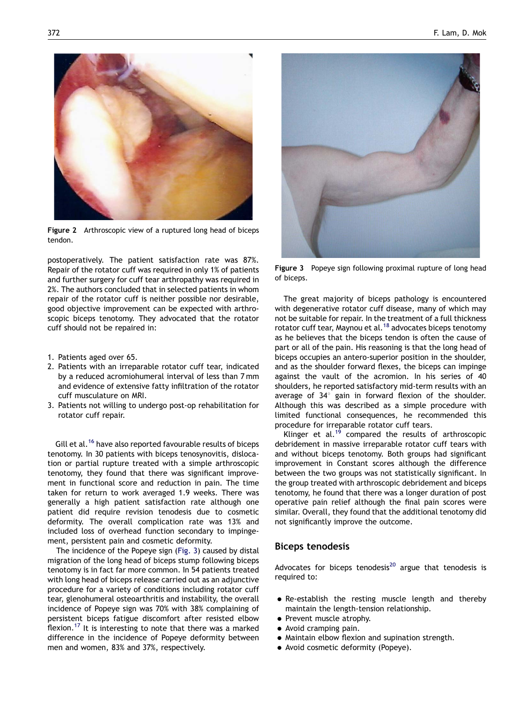<span id="page-2-0"></span>

Figure 2 Arthroscopic view of a ruptured long head of biceps tendon.

postoperatively. The patient satisfaction rate was 87%. Repair of the rotator cuff was required in only 1% of patients and further surgery for cuff tear arthropathy was required in 2%. The authors concluded that in selected patients in whom repair of the rotator cuff is neither possible nor desirable, good objective improvement can be expected with arthroscopic biceps tenotomy. They advocated that the rotator cuff should not be repaired in:

- 1. Patients aged over 65.
- 2. Patients with an irreparable rotator cuff tear, indicated by a reduced acromiohumeral interval of less than 7 mm and evidence of extensive fatty infiltration of the rotator cuff musculature on MRI.
- 3. Patients not willing to undergo post-op rehabilitation for rotator cuff repair.

Gill et al.<sup>[16](#page-4-0)</sup> have also reported favourable results of biceps tenotomy. In 30 patients with biceps tenosynovitis, dislocation or partial rupture treated with a simple arthroscopic tenotomy, they found that there was significant improvement in functional score and reduction in pain. The time taken for return to work averaged 1.9 weeks. There was generally a high patient satisfaction rate although one patient did require revision tenodesis due to cosmetic deformity. The overall complication rate was 13% and included loss of overhead function secondary to impingement, persistent pain and cosmetic deformity.

The incidence of the Popeye sign (Fig. 3) caused by distal migration of the long head of biceps stump following biceps tenotomy is in fact far more common. In 54 patients treated with long head of biceps release carried out as an adjunctive procedure for a variety of conditions including rotator cuff tear, glenohumeral osteoarthritis and instability, the overall incidence of Popeye sign was 70% with 38% complaining of persistent biceps fatigue discomfort after resisted elbow flexion.<sup>[17](#page-4-0)</sup> It is interesting to note that there was a marked difference in the incidence of Popeye deformity between men and women, 83% and 37%, respectively.



Figure 3 Popeye sign following proximal rupture of long head of biceps.

The great majority of biceps pathology is encountered with degenerative rotator cuff disease, many of which may not be suitable for repair. In the treatment of a full thickness rotator cuff tear, Maynou et al.<sup>[18](#page-4-0)</sup> advocates biceps tenotomy as he believes that the biceps tendon is often the cause of part or all of the pain. His reasoning is that the long head of biceps occupies an antero-superior position in the shoulder, and as the shoulder forward flexes, the biceps can impinge against the vault of the acromion. In his series of 40 shoulders, he reported satisfactory mid-term results with an average of 34° gain in forward flexion of the shoulder. Although this was described as a simple procedure with limited functional consequences, he recommended this procedure for irreparable rotator cuff tears.

Klinger et al.<sup>[19](#page-4-0)</sup> compared the results of arthroscopic debridement in massive irreparable rotator cuff tears with and without biceps tenotomy. Both groups had significant improvement in Constant scores although the difference between the two groups was not statistically significant. In the group treated with arthroscopic debridement and biceps tenotomy, he found that there was a longer duration of post operative pain relief although the final pain scores were similar. Overall, they found that the additional tenotomy did not significantly improve the outcome.

# Biceps tenodesis

Advocates for biceps tenodesis<sup>[20](#page-4-0)</sup> argue that tenodesis is required to:

- Re-establish the resting muscle length and thereby maintain the length-tension relationship.
- Prevent muscle atrophy.
- Avoid cramping pain.
- $\bullet$  Maintain elbow flexion and supination strength.
- $\bullet$  Avoid cosmetic deformity (Popeye).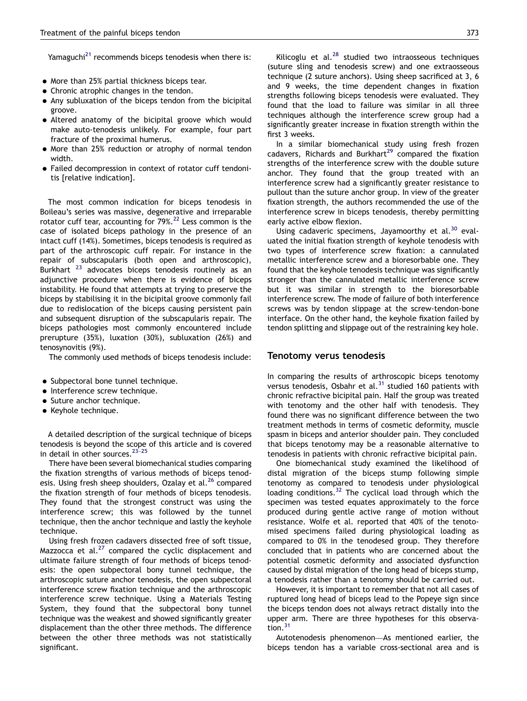Yamaguchi<sup>[21](#page-4-0)</sup> recommends biceps tenodesis when there is:

- $\bullet$  More than 25% partial thickness biceps tear.
- Chronic atrophic changes in the tendon.
- Any subluxation of the biceps tendon from the bicipital groove.
- Altered anatomy of the bicipital groove which would make auto-tenodesis unlikely. For example, four part fracture of the proximal humerus.
- $\bullet$  More than 25% reduction or atrophy of normal tendon width.
- Failed decompression in context of rotator cuff tendonitis [relative indication].

The most common indication for biceps tenodesis in Boileau's series was massive, degenerative and irreparable rotator cuff tear, accounting for  $79\%$ <sup>[22](#page-5-0)</sup> Less common is the case of isolated biceps pathology in the presence of an intact cuff (14%). Sometimes, biceps tenodesis is required as part of the arthroscopic cuff repair. For instance in the repair of subscapularis (both open and arthroscopic), Burkhart <sup>[23](#page-5-0)</sup> advocates biceps tenodesis routinely as an adjunctive procedure when there is evidence of biceps instability. He found that attempts at trying to preserve the biceps by stabilising it in the bicipital groove commonly fail due to redislocation of the biceps causing persistent pain and subsequent disruption of the subscapularis repair. The biceps pathologies most commonly encountered include prerupture (35%), luxation (30%), subluxation (26%) and tenosynovitis (9%).

The commonly used methods of biceps tenodesis include:

- Subpectoral bone tunnel technique.
- Interference screw technique.
- · Suture anchor technique.
- Keyhole technique.

A detailed description of the surgical technique of biceps tenodesis is beyond the scope of this article and is covered in detail in other sources.[23](#page-5-0)–<sup>25</sup>

There have been several biomechanical studies comparing the fixation strengths of various methods of biceps tenod-esis. Using fresh sheep shoulders, Ozalay et al.<sup>[26](#page-5-0)</sup> compared the fixation strength of four methods of biceps tenodesis. They found that the strongest construct was using the interference screw; this was followed by the tunnel technique, then the anchor technique and lastly the keyhole technique.

Using fresh frozen cadavers dissected free of soft tissue, Mazzocca et al. $^{27}$  $^{27}$  $^{27}$  compared the cyclic displacement and ultimate failure strength of four methods of biceps tenodesis: the open subpectoral bony tunnel technique, the arthroscopic suture anchor tenodesis, the open subpectoral interference screw fixation technique and the arthroscopic interference screw technique. Using a Materials Testing System, they found that the subpectoral bony tunnel technique was the weakest and showed significantly greater displacement than the other three methods. The difference between the other three methods was not statistically significant.

Kilicoglu et al. $^{28}$  $^{28}$  $^{28}$  studied two intraosseous techniques (suture sling and tenodesis screw) and one extraosseous technique (2 suture anchors). Using sheep sacrificed at 3, 6 and 9 weeks, the time dependent changes in fixation strengths following biceps tenodesis were evaluated. They found that the load to failure was similar in all three techniques although the interference screw group had a significantly greater increase in fixation strength within the first 3 weeks.

In a similar biomechanical study using fresh frozen cadavers, Richards and Burkhart<sup>[29](#page-5-0)</sup> compared the fixation strengths of the interference screw with the double suture anchor. They found that the group treated with an interference screw had a significantly greater resistance to pullout than the suture anchor group. In view of the greater fixation strength, the authors recommended the use of the interference screw in biceps tenodesis, thereby permitting early active elbow flexion.

Using cadaveric specimens, Javamoorthy et al.  $30$  evaluated the initial fixation strength of keyhole tenodesis with two types of interference screw fixation: a cannulated metallic interference screw and a bioresorbable one. They found that the keyhole tenodesis technique was significantly stronger than the cannulated metallic interference screw but it was similar in strength to the bioresorbable interference screw. The mode of failure of both interference screws was by tendon slippage at the screw-tendon-bone interface. On the other hand, the keyhole fixation failed by tendon splitting and slippage out of the restraining key hole.

#### Tenotomy verus tenodesis

In comparing the results of arthroscopic biceps tenotomy versus tenodesis, Osbahr et al. $31$  studied 160 patients with chronic refractive bicipital pain. Half the group was treated with tenotomy and the other half with tenodesis. They found there was no significant difference between the two treatment methods in terms of cosmetic deformity, muscle spasm in biceps and anterior shoulder pain. They concluded that biceps tenotomy may be a reasonable alternative to tenodesis in patients with chronic refractive bicipital pain.

One biomechanical study examined the likelihood of distal migration of the biceps stump following simple tenotomy as compared to tenodesis under physiological loading conditions.[32](#page-5-0) The cyclical load through which the specimen was tested equates approximately to the force produced during gentle active range of motion without resistance. Wolfe et al. reported that 40% of the tenotomised specimens failed during physiological loading as compared to 0% in the tenodesed group. They therefore concluded that in patients who are concerned about the potential cosmetic deformity and associated dysfunction caused by distal migration of the long head of biceps stump, a tenodesis rather than a tenotomy should be carried out.

However, it is important to remember that not all cases of ruptured long head of biceps lead to the Popeye sign since the biceps tendon does not always retract distally into the upper arm. There are three hypotheses for this observation.<sup>31</sup>

Autotenodesis phenomenon—As mentioned earlier, the biceps tendon has a variable cross-sectional area and is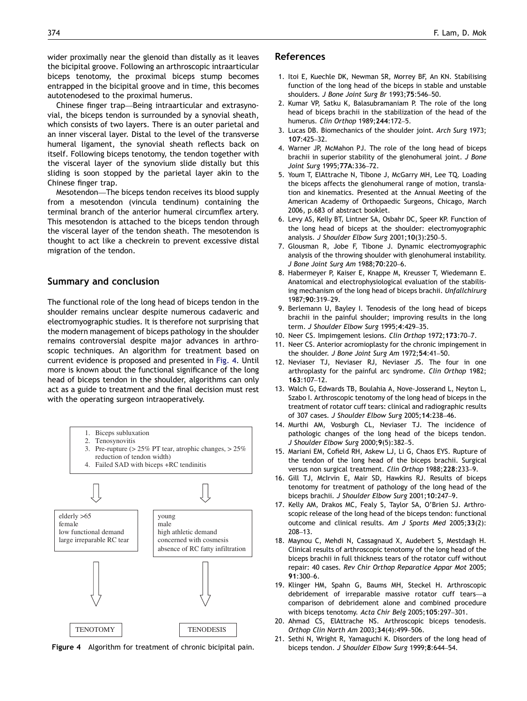<span id="page-4-0"></span>wider proximally near the glenoid than distally as it leaves the bicipital groove. Following an arthroscopic intraarticular biceps tenotomy, the proximal biceps stump becomes entrapped in the bicipital groove and in time, this becomes autotenodesed to the proximal humerus.

Chinese finger trap—Being intraarticular and extrasynovial, the biceps tendon is surrounded by a synovial sheath, which consists of two layers. There is an outer parietal and an inner visceral layer. Distal to the level of the transverse humeral ligament, the synovial sheath reflects back on itself. Following biceps tenotomy, the tendon together with the visceral layer of the synovium slide distally but this sliding is soon stopped by the parietal layer akin to the Chinese finger trap.

Mesotendon—The biceps tendon receives its blood supply from a mesotendon (vincula tendinum) containing the terminal branch of the anterior humeral circumflex artery. This mesotendon is attached to the biceps tendon through the visceral layer of the tendon sheath. The mesotendon is thought to act like a checkrein to prevent excessive distal migration of the tendon.

#### Summary and conclusion

The functional role of the long head of biceps tendon in the shoulder remains unclear despite numerous cadaveric and electromyographic studies. It is therefore not surprising that the modern management of biceps pathology in the shoulder remains controversial despite major advances in arthroscopic techniques. An algorithm for treatment based on current evidence is proposed and presented in Fig. 4. Until more is known about the functional significance of the long head of biceps tendon in the shoulder, algorithms can only act as a guide to treatment and the final decision must rest with the operating surgeon intraoperatively.



Figure 4 Algorithm for treatment of chronic bicipital pain.

#### References

- 1. Itoi E, Kuechle DK, Newman SR, Morrey BF, An KN. Stabilising function of the long head of the biceps in stable and unstable shoulders. J Bone Joint Surg Br 1993;75:546–50.
- 2. Kumar VP, Satku K, Balasubramaniam P. The role of the long head of biceps brachii in the stabilization of the head of the humerus. Clin Orthop 1989;244:172–5.
- 3. Lucas DB. Biomechanics of the shoulder joint. Arch Surg 1973; 107:425–32.
- 4. Warner JP, McMahon PJ. The role of the long head of biceps brachii in superior stability of the glenohumeral joint. J Bone Joint Surg 1995;77A:336–72.
- 5. Youm T, ElAttrache N, Tibone J, McGarry MH, Lee TQ. Loading the biceps affects the glenohumeral range of motion, translation and kinematics. Presented at the Annual Meeting of the American Academy of Orthopaedic Surgeons, Chicago, March 2006, p.683 of abstract booklet.
- 6. Levy AS, Kelly BT, Lintner SA, Osbahr DC, Speer KP. Function of the long head of biceps at the shoulder: electromyographic analysis. J Shoulder Elbow Surg 2001;10(3):250–5.
- 7. Glousman R, Jobe F, Tibone J. Dynamic electromyographic analysis of the throwing shoulder with glenohumeral instability. J Bone Joint Surg Am 1988;70:220–6.
- 8. Habermeyer P, Kaiser E, Knappe M, Kreusser T, Wiedemann E. Anatomical and electrophysiological evaluation of the stabilising mechanism of the long head of biceps brachii. Unfallchirurg 1987;90:319–29.
- 9. Berlemann U, Bayley I. Tenodesis of the long head of biceps brachii in the painful shoulder; improving results in the long term. J Shoulder Elbow Surg 1995;4:429–35.
- 10. Neer CS. Impimgement lesions. Clin Orthop 1972;173:70–7.
- 11. Neer CS. Anterior acromioplasty for the chronic impingement in the shoulder. J Bone Joint Surg Am 1972;54:41-50.
- 12. Neviaser TJ, Neviaser RJ, Neviaser JS. The four in one arthroplasty for the painful arc syndrome. Clin Orthop 1982; 163:107–12.
- 13. Walch G, Edwards TB, Boulahia A, Nove-Josserand L, Neyton L, Szabo I. Arthroscopic tenotomy of the long head of biceps in the treatment of rotator cuff tears: clinical and radiographic results of 307 cases. J Shoulder Elbow Surg 2005;14:238–46.
- 14. Murthi AM, Vosburgh CL, Neviaser TJ. The incidence of pathologic changes of the long head of the biceps tendon. J Shoulder Elbow Surg 2000;9(5):382–5.
- 15. Mariani EM, Cofield RH, Askew LJ, Li G, Chaos EYS. Rupture of the tendon of the long head of the biceps brachii. Surgical versus non surgical treatment. Clin Orthop 1988;228:233–9.
- 16. Gill TJ, McIrvin E, Mair SD, Hawkins RJ. Results of biceps tenotomy for treatment of pathology of the long head of the biceps brachii. J Shoulder Elbow Surg 2001;10:247–9.
- 17. Kelly AM, Drakos MC, Fealy S, Taylor SA, O'Brien SJ. Arthroscopic release of the long head of the biceps tendon: functional outcome and clinical results. Am J Sports Med 2005;33(2): 208–13.
- 18. Maynou C, Mehdi N, Cassagnaud X, Audebert S, Mestdagh H. Clinical results of arthroscopic tenotomy of the long head of the biceps brachii in full thickness tears of the rotator cuff without repair: 40 cases. Rev Chir Orthop Reparatice Appar Mot 2005; 91:300–6.
- 19. Klinger HM, Spahn G, Baums MH, Steckel H. Arthroscopic debridement of irreparable massive rotator cuff tears—a comparison of debridement alone and combined procedure with biceps tenotomy. Acta Chir Belg 2005;105:297–301.
- 20. Ahmad CS, ElAttrache NS. Arthroscopic biceps tenodesis. Orthop Clin North Am 2003;34(4):499–506.
- 21. Sethi N, Wright R, Yamaguchi K. Disorders of the long head of biceps tendon. J Shoulder Elbow Surg 1999;8:644–54.